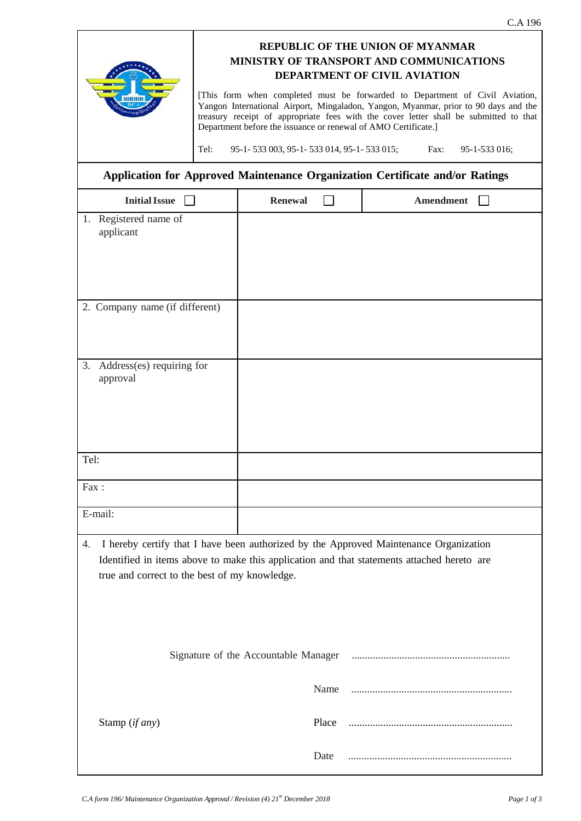|                                                                                                                                                                                                                                            |                                                                                                                                                                                                                                                                                                                                                                                                                                                                                                                                            |                                      |       |  |                  | C.A 196 |  |  |
|--------------------------------------------------------------------------------------------------------------------------------------------------------------------------------------------------------------------------------------------|--------------------------------------------------------------------------------------------------------------------------------------------------------------------------------------------------------------------------------------------------------------------------------------------------------------------------------------------------------------------------------------------------------------------------------------------------------------------------------------------------------------------------------------------|--------------------------------------|-------|--|------------------|---------|--|--|
|                                                                                                                                                                                                                                            | <b>REPUBLIC OF THE UNION OF MYANMAR</b><br>MINISTRY OF TRANSPORT AND COMMUNICATIONS<br><b>DEPARTMENT OF CIVIL AVIATION</b><br>[This form when completed must be forwarded to Department of Civil Aviation,<br>Yangon International Airport, Mingaladon, Yangon, Myanmar, prior to 90 days and the<br>treasury receipt of appropriate fees with the cover letter shall be submitted to that<br>Department before the issuance or renewal of AMO Certificate.]<br>Tel:<br>95-1-533 003, 95-1-533 014, 95-1-533 015;<br>Fax:<br>95-1-533 016; |                                      |       |  |                  |         |  |  |
| Application for Approved Maintenance Organization Certificate and/or Ratings                                                                                                                                                               |                                                                                                                                                                                                                                                                                                                                                                                                                                                                                                                                            |                                      |       |  |                  |         |  |  |
| <b>Initial Issue</b>                                                                                                                                                                                                                       |                                                                                                                                                                                                                                                                                                                                                                                                                                                                                                                                            | <b>Renewal</b>                       |       |  | <b>Amendment</b> |         |  |  |
| 1. Registered name of<br>applicant                                                                                                                                                                                                         |                                                                                                                                                                                                                                                                                                                                                                                                                                                                                                                                            |                                      |       |  |                  |         |  |  |
| 2. Company name (if different)                                                                                                                                                                                                             |                                                                                                                                                                                                                                                                                                                                                                                                                                                                                                                                            |                                      |       |  |                  |         |  |  |
| 3.<br>Address(es) requiring for<br>approval                                                                                                                                                                                                |                                                                                                                                                                                                                                                                                                                                                                                                                                                                                                                                            |                                      |       |  |                  |         |  |  |
| Tel:                                                                                                                                                                                                                                       |                                                                                                                                                                                                                                                                                                                                                                                                                                                                                                                                            |                                      |       |  |                  |         |  |  |
| Fax:                                                                                                                                                                                                                                       |                                                                                                                                                                                                                                                                                                                                                                                                                                                                                                                                            |                                      |       |  |                  |         |  |  |
| E-mail:                                                                                                                                                                                                                                    |                                                                                                                                                                                                                                                                                                                                                                                                                                                                                                                                            |                                      |       |  |                  |         |  |  |
| I hereby certify that I have been authorized by the Approved Maintenance Organization<br>4.<br>Identified in items above to make this application and that statements attached hereto are<br>true and correct to the best of my knowledge. |                                                                                                                                                                                                                                                                                                                                                                                                                                                                                                                                            |                                      |       |  |                  |         |  |  |
|                                                                                                                                                                                                                                            |                                                                                                                                                                                                                                                                                                                                                                                                                                                                                                                                            | Signature of the Accountable Manager |       |  |                  |         |  |  |
|                                                                                                                                                                                                                                            |                                                                                                                                                                                                                                                                                                                                                                                                                                                                                                                                            |                                      | Name  |  |                  |         |  |  |
| Stamp (if any)                                                                                                                                                                                                                             |                                                                                                                                                                                                                                                                                                                                                                                                                                                                                                                                            |                                      | Place |  |                  |         |  |  |
|                                                                                                                                                                                                                                            |                                                                                                                                                                                                                                                                                                                                                                                                                                                                                                                                            |                                      | Date  |  |                  |         |  |  |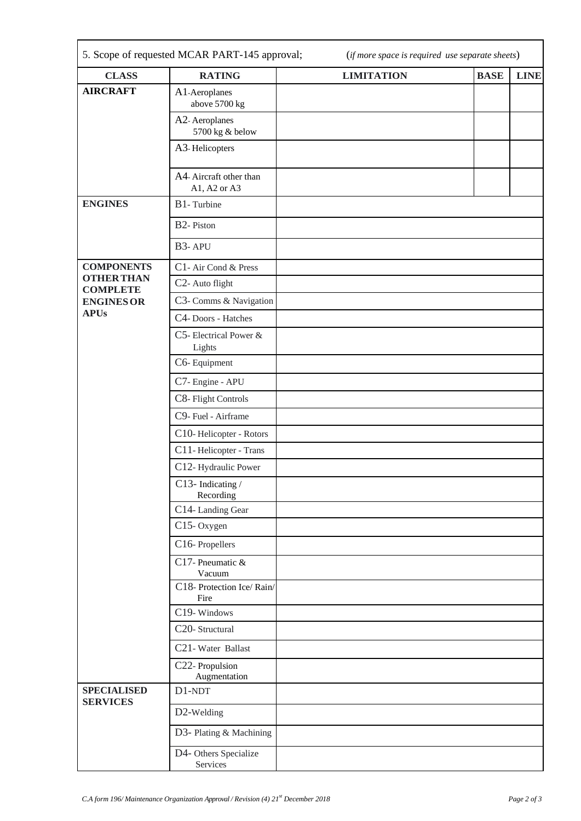| <b>CLASS</b>                                                                                  | <b>RATING</b>                          | <b>LIMITATION</b> | <b>BASE</b><br><b>LINE</b> |  |  |  |  |  |
|-----------------------------------------------------------------------------------------------|----------------------------------------|-------------------|----------------------------|--|--|--|--|--|
| <b>AIRCRAFT</b>                                                                               | A1-Aeroplanes<br>above 5700 kg         |                   |                            |  |  |  |  |  |
|                                                                                               | A2-Aeroplanes<br>5700 kg & below       |                   |                            |  |  |  |  |  |
|                                                                                               | A3-Helicopters                         |                   |                            |  |  |  |  |  |
|                                                                                               | A4-Aircraft other than<br>A1, A2 or A3 |                   |                            |  |  |  |  |  |
| <b>ENGINES</b>                                                                                | B1-Turbine                             |                   |                            |  |  |  |  |  |
|                                                                                               | B <sub>2</sub> -Piston                 |                   |                            |  |  |  |  |  |
|                                                                                               | B3-APU                                 |                   |                            |  |  |  |  |  |
| <b>COMPONENTS</b><br><b>OTHER THAN</b><br><b>COMPLETE</b><br><b>ENGINES OR</b><br><b>APUs</b> | C1- Air Cond & Press                   |                   |                            |  |  |  |  |  |
|                                                                                               | C <sub>2</sub> - Auto flight           |                   |                            |  |  |  |  |  |
|                                                                                               | C3- Comms & Navigation                 |                   |                            |  |  |  |  |  |
|                                                                                               | C4-Doors - Hatches                     |                   |                            |  |  |  |  |  |
|                                                                                               | C5- Electrical Power &<br>Lights       |                   |                            |  |  |  |  |  |
|                                                                                               | C6-Equipment                           |                   |                            |  |  |  |  |  |
|                                                                                               | C7- Engine - APU                       |                   |                            |  |  |  |  |  |
|                                                                                               | C8- Flight Controls                    |                   |                            |  |  |  |  |  |
|                                                                                               | C9- Fuel - Airframe                    |                   |                            |  |  |  |  |  |
|                                                                                               | C10-Helicopter - Rotors                |                   |                            |  |  |  |  |  |
|                                                                                               | C11-Helicopter - Trans                 |                   |                            |  |  |  |  |  |
|                                                                                               | C12-Hydraulic Power                    |                   |                            |  |  |  |  |  |
|                                                                                               | C13- Indicating /<br>Recording         |                   |                            |  |  |  |  |  |
|                                                                                               | C14-Landing Gear                       |                   |                            |  |  |  |  |  |
|                                                                                               | C15-Oxygen                             |                   |                            |  |  |  |  |  |
|                                                                                               | C16-Propellers                         |                   |                            |  |  |  |  |  |
|                                                                                               | C17- Pneumatic &<br>Vacuum             |                   |                            |  |  |  |  |  |
|                                                                                               | C18- Protection Ice/Rain/<br>Fire      |                   |                            |  |  |  |  |  |
|                                                                                               | C19-Windows                            |                   |                            |  |  |  |  |  |
|                                                                                               | C20-Structural                         |                   |                            |  |  |  |  |  |
|                                                                                               | C21-Water Ballast                      |                   |                            |  |  |  |  |  |
|                                                                                               | C22- Propulsion<br>Augmentation        |                   |                            |  |  |  |  |  |
| <b>SPECIALISED</b><br><b>SERVICES</b>                                                         | D1-NDT                                 |                   |                            |  |  |  |  |  |
|                                                                                               | D2-Welding                             |                   |                            |  |  |  |  |  |
|                                                                                               | D3- Plating & Machining                |                   |                            |  |  |  |  |  |
|                                                                                               | D4- Others Specialize<br>Services      |                   |                            |  |  |  |  |  |